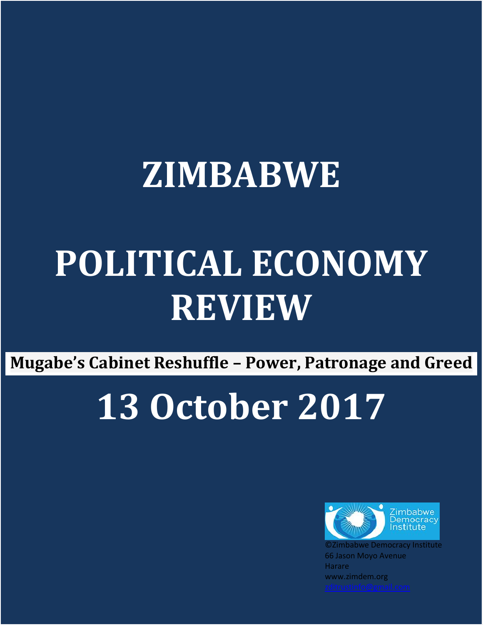## **ZIMBABWE**

## **POLITICAL ECONOMY REVIEW**

**Mugabe's Cabinet Reshuffle – Power, Patronage and Greed**

## **13 October 2017**



©Zimbabwe Democracy Institute 66 Jason Moyo Avenue **Harare** www.zimdem.org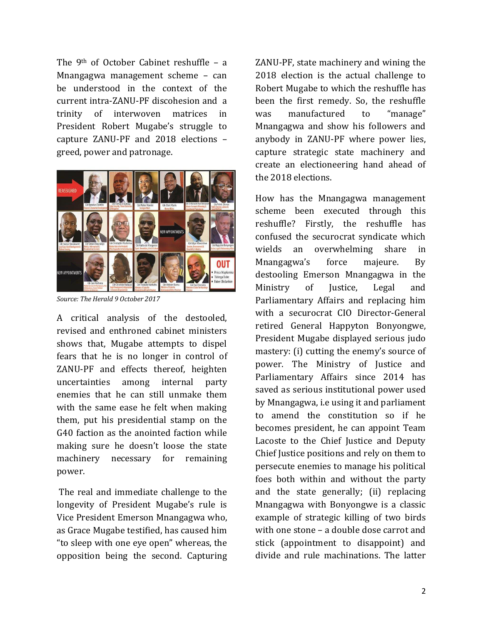The 9th of October Cabinet reshuffle – a Mnangagwa management scheme – can be understood in the context of the current intra-ZANU-PF discohesion and a trinity of interwoven matrices in President Robert Mugabe's struggle to capture ZANU-PF and 2018 elections – greed, power and patronage.



*Source: The Herald 9 October 2017*

A critical analysis of the destooled, revised and enthroned cabinet ministers shows that, Mugabe attempts to dispel fears that he is no longer in control of ZANU-PF and effects thereof, heighten uncertainties among internal party enemies that he can still unmake them with the same ease he felt when making them, put his presidential stamp on the G40 faction as the anointed faction while making sure he doesn't loose the state machinery necessary for remaining power.

The real and immediate challenge to the longevity of President Mugabe's rule is Vice President Emerson Mnangagwa who, as Grace Mugabe testified, has caused him "to sleep with one eye open" whereas, the opposition being the second. Capturing

ZANU-PF, state machinery and wining the 2018 election is the actual challenge to Robert Mugabe to which the reshuffle has been the first remedy. So, the reshuffle was manufactured to "manage" Mnangagwa and show his followers and anybody in ZANU-PF where power lies, capture strategic state machinery and create an electioneering hand ahead of the 2018 elections.

How has the Mnangagwa management scheme been executed through this reshuffle? Firstly, the reshuffle has confused the securocrat syndicate which wields an overwhelming share in Mnangagwa's force majeure. By destooling Emerson Mnangagwa in the Ministry of Justice, Legal and Parliamentary Affairs and replacing him with a securocrat CIO Director-General retired General Happyton Bonyongwe, President Mugabe displayed serious judo mastery: (i) cutting the enemy's source of power. The Ministry of Justice and Parliamentary Affairs since 2014 has saved as serious institutional power used by Mnangagwa, i.e using it and parliament to amend the constitution so if he becomes president, he can appoint Team Lacoste to the Chief Justice and Deputy Chief Justice positions and rely on them to persecute enemies to manage his political foes both within and without the party and the state generally; (ii) replacing Mnangagwa with Bonyongwe is a classic example of strategic killing of two birds with one stone – a double dose carrot and stick (appointment to disappoint) and divide and rule machinations. The latter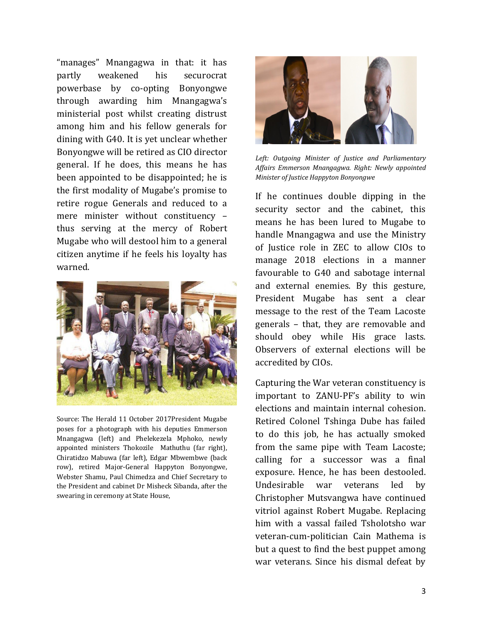"manages" Mnangagwa in that: it has partly weakened his securocrat powerbase by co-opting Bonyongwe through awarding him Mnangagwa's ministerial post whilst creating distrust among him and his fellow generals for dining with G40. It is yet unclear whether Bonyongwe will be retired as CIO director general. If he does, this means he has been appointed to be disappointed; he is the first modality of Mugabe's promise to retire rogue Generals and reduced to a mere minister without constituency – thus serving at the mercy of Robert Mugabe who will destool him to a general citizen anytime if he feels his loyalty has warned.



Source: The Herald 11 October 2017President Mugabe poses for a photograph with his deputies Emmerson Mnangagwa (left) and Phelekezela Mphoko, newly appointed ministers Thokozile Mathuthu (far right), Chiratidzo Mabuwa (far left), Edgar Mbwembwe (back row), retired Major-General Happyton Bonyongwe, Webster Shamu, Paul Chimedza and Chief Secretary to the President and cabinet Dr Misheck Sibanda, after the swearing in ceremony at State House,



*Left: Outgoing Minister of Justice and Parliamentary Affairs Emmerson Mnangagwa. Right: Newly appointed Minister of Justice Happyton Bonyongwe* 

If he continues double dipping in the security sector and the cabinet, this means he has been lured to Mugabe to handle Mnangagwa and use the Ministry of Justice role in ZEC to allow CIOs to manage 2018 elections in a manner favourable to G40 and sabotage internal and external enemies. By this gesture, President Mugabe has sent a clear message to the rest of the Team Lacoste generals – that, they are removable and should obey while His grace lasts. Observers of external elections will be accredited by CIOs.

Capturing the War veteran constituency is important to ZANU-PF's ability to win elections and maintain internal cohesion. Retired Colonel Tshinga Dube has failed to do this job, he has actually smoked from the same pipe with Team Lacoste; calling for a successor was a final exposure. Hence, he has been destooled. Undesirable war veterans led by Christopher Mutsvangwa have continued vitriol against Robert Mugabe. Replacing him with a vassal failed Tsholotsho war veteran-cum-politician Cain Mathema is but a quest to find the best puppet among war veterans. Since his dismal defeat by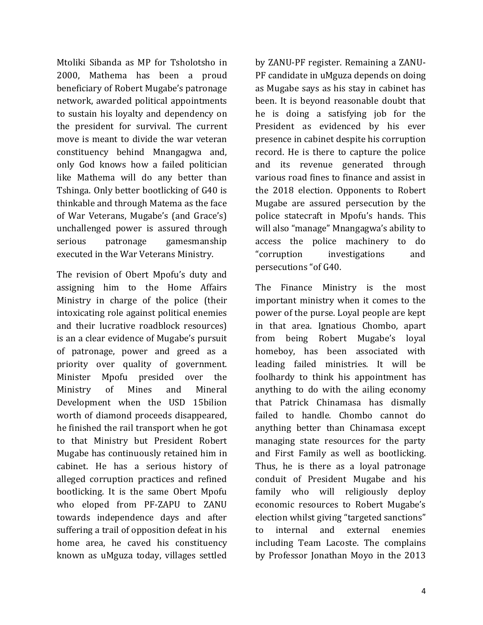Mtoliki Sibanda as MP for Tsholotsho in 2000, Mathema has been a proud beneficiary of Robert Mugabe's patronage network, awarded political appointments to sustain his loyalty and dependency on the president for survival. The current move is meant to divide the war veteran constituency behind Mnangagwa and, only God knows how a failed politician like Mathema will do any better than Tshinga. Only better bootlicking of G40 is thinkable and through Matema as the face of War Veterans, Mugabe's (and Grace's) unchallenged power is assured through serious patronage gamesmanship executed in the War Veterans Ministry.

The revision of Obert Mpofu's duty and assigning him to the Home Affairs Ministry in charge of the police (their intoxicating role against political enemies and their lucrative roadblock resources) is an a clear evidence of Mugabe's pursuit of patronage, power and greed as a priority over quality of government. Minister Mpofu presided over the Ministry of Mines and Mineral Development when the USD 15bilion worth of diamond proceeds disappeared, he finished the rail transport when he got to that Ministry but President Robert Mugabe has continuously retained him in cabinet. He has a serious history of alleged corruption practices and refined bootlicking. It is the same Obert Mpofu who eloped from PF-ZAPU to ZANU towards independence days and after suffering a trail of opposition defeat in his home area, he caved his constituency known as uMguza today, villages settled

by ZANU-PF register. Remaining a ZANU-PF candidate in uMguza depends on doing as Mugabe says as his stay in cabinet has been. It is beyond reasonable doubt that he is doing a satisfying job for the President as evidenced by his ever presence in cabinet despite his corruption record. He is there to capture the police and its revenue generated through various road fines to finance and assist in the 2018 election. Opponents to Robert Mugabe are assured persecution by the police statecraft in Mpofu's hands. This will also "manage" Mnangagwa's ability to access the police machinery to do "corruption investigations and persecutions "of G40.

The Finance Ministry is the most important ministry when it comes to the power of the purse. Loyal people are kept in that area. Ignatious Chombo, apart from being Robert Mugabe's loyal homeboy, has been associated with leading failed ministries. It will be foolhardy to think his appointment has anything to do with the ailing economy that Patrick Chinamasa has dismally failed to handle. Chombo cannot do anything better than Chinamasa except managing state resources for the party and First Family as well as bootlicking. Thus, he is there as a loyal patronage conduit of President Mugabe and his family who will religiously deploy economic resources to Robert Mugabe's election whilst giving "targeted sanctions" to internal and external enemies including Team Lacoste. The complains by Professor Jonathan Moyo in the 2013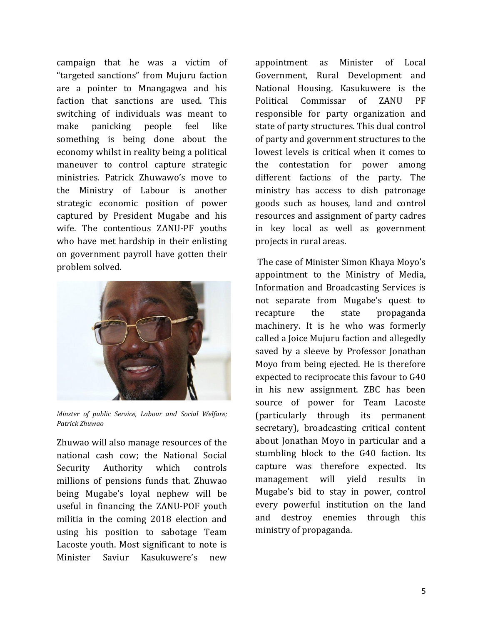campaign that he was a victim of "targeted sanctions" from Mujuru faction are a pointer to Mnangagwa and his faction that sanctions are used. This switching of individuals was meant to make panicking people feel like something is being done about the economy whilst in reality being a political maneuver to control capture strategic ministries. Patrick Zhuwawo's move to the Ministry of Labour is another strategic economic position of power captured by President Mugabe and his wife. The contentious ZANU-PF youths who have met hardship in their enlisting on government payroll have gotten their problem solved.



*Minster of public Service, Labour and Social Welfare; Patrick Zhuwao*

Zhuwao will also manage resources of the national cash cow; the National Social Security Authority which controls millions of pensions funds that. Zhuwao being Mugabe's loyal nephew will be useful in financing the ZANU-POF youth militia in the coming 2018 election and using his position to sabotage Team Lacoste youth. Most significant to note is Minister Saviur Kasukuwere's new

appointment as Minister of Local Government, Rural Development and National Housing. Kasukuwere is the Political Commissar of ZANU PF responsible for party organization and state of party structures. This dual control of party and government structures to the lowest levels is critical when it comes to the contestation for power among different factions of the party. The ministry has access to dish patronage goods such as houses, land and control resources and assignment of party cadres in key local as well as government projects in rural areas.

The case of Minister Simon Khaya Moyo's appointment to the Ministry of Media, Information and Broadcasting Services is not separate from Mugabe's quest to recapture the state propaganda machinery. It is he who was formerly called a Joice Mujuru faction and allegedly saved by a sleeve by Professor Jonathan Moyo from being ejected. He is therefore expected to reciprocate this favour to G40 in his new assignment. ZBC has been source of power for Team Lacoste (particularly through its permanent secretary), broadcasting critical content about Jonathan Moyo in particular and a stumbling block to the G40 faction. Its capture was therefore expected. Its management will yield results in Mugabe's bid to stay in power, control every powerful institution on the land and destroy enemies through this ministry of propaganda.